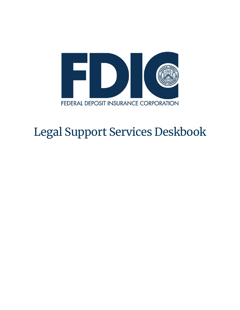

# Legal Support Services Deskbook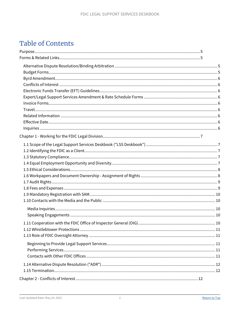## <span id="page-1-0"></span>**Table of Contents**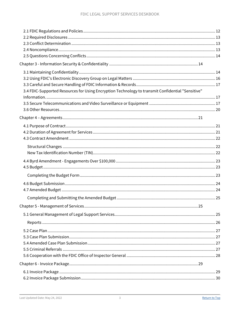| 3.4 FDIC-Supported Resources for Using Encryption Technology to transmit Confidential "Sensitive" |  |
|---------------------------------------------------------------------------------------------------|--|
|                                                                                                   |  |
|                                                                                                   |  |
|                                                                                                   |  |
|                                                                                                   |  |
|                                                                                                   |  |
|                                                                                                   |  |
|                                                                                                   |  |
|                                                                                                   |  |
|                                                                                                   |  |
|                                                                                                   |  |
|                                                                                                   |  |
|                                                                                                   |  |
|                                                                                                   |  |
|                                                                                                   |  |
|                                                                                                   |  |
|                                                                                                   |  |
|                                                                                                   |  |
|                                                                                                   |  |
|                                                                                                   |  |
|                                                                                                   |  |
|                                                                                                   |  |
|                                                                                                   |  |
|                                                                                                   |  |
|                                                                                                   |  |
|                                                                                                   |  |
|                                                                                                   |  |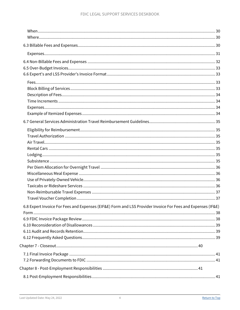| 6.8 Expert Invoice For Fees and Expenses (EIF&E) Form and LSS Provider Invoice For Fees and Expenses (IF&E) |  |
|-------------------------------------------------------------------------------------------------------------|--|
|                                                                                                             |  |
|                                                                                                             |  |
|                                                                                                             |  |
|                                                                                                             |  |
|                                                                                                             |  |
|                                                                                                             |  |
|                                                                                                             |  |
|                                                                                                             |  |
|                                                                                                             |  |
|                                                                                                             |  |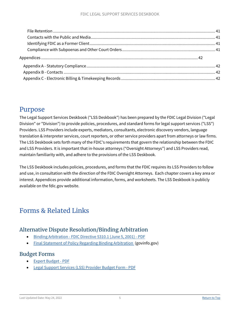## <span id="page-4-0"></span>Purpose

The Legal Support Services Deskbook ("LSS Deskbook") has been prepared by the FDIC Legal Division ("Legal Division" or "Division") to provide policies, procedures, and standard forms for legal support services ("LSS") Providers. LSS Providers include experts, mediators, consultants, electronic discovery vendors, language translation & interpreter services, court reporters, or other service providers apart from attorneys or law firms. The LSS Deskbook sets forth many of the FDIC's requirements that govern the relationship between the FDIC and LSS Providers. It is important that in-house attorneys ("Oversight Attorneys") and LSS Providers read, maintain familiarity with, and adhere to the provisions of the LSS Deskbook.

The LSS Deskbook includes policies, procedures, and forms that the FDIC requires its LSS Providers to follow and use, in consultation with the direction of the FDIC Oversight Attorneys. Each chapter covers a key area or interest. Appendices provide additional information, forms, and worksheets. The LSS Deskbook is publicly available on the fdic.gov website.

## <span id="page-4-1"></span>Forms & Related Links

### <span id="page-4-2"></span>Alternative Dispute Resolution/Binding Arbitration

- [Binding Arbitration FDIC Directive 5310.1 \(June 5, 2001\) PDF](https://www.fdic.gov/formsdocuments/d5310-1.pdf)
- [Final Statement of Policy Regarding Binding Arbitration](https://www.govinfo.gov/content/pkg/FR-2001-04-10/pdf/01-8752.pdf#page=1) (govinfo.gov)

#### <span id="page-4-3"></span>Budget Forms

- [Expert Budget PDF](https://www.fdic.gov/formsdocuments/f5210-08.pdf)
- [Legal Support Services \(LSS\) Provider Budget Form PDF](https://www.fdic.gov/formsdocuments/f5210-15.pdf)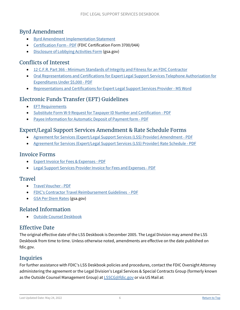### <span id="page-5-0"></span>Byrd Amendment

- [Byrd Amendment Implementation Statement](https://www.fdic.gov/about/doing-business/legal-support-services-deskbook/byrdstatement.html)
- [Certification Form PDF](https://www.fdic.gov/formsdocuments/f3700-04a.pdf) (FDIC Certification Form 3700/04A)
- [Disclosure of Lobbying Activities Form](https://www.gsa.gov/forms-library/disclosure-lobbying-activities) (gsa.gov)

### <span id="page-5-1"></span>Conflicts of Interest

- [12 C.F.R. Part 366 Minimum Standards of Integrity and Fitness for an FDIC Contractor](https://www.fdic.gov/regulations/laws/rules/2000-8800.html)
- [Oral Representations and Certifications for Expert Legal Support Services Telephone Authorization for](https://www.fdic.gov/formsdocuments/f5210-14.pdf)  [Expenditures Under \\$5,000 - PDF](https://www.fdic.gov/formsdocuments/f5210-14.pdf)
- [Representations and Certifications for Expert Legal Support Services Provider MS Word](https://www.fdic.gov/formsdocuments/f5210-09.docx)

### <span id="page-5-2"></span>Electronic Funds Transfer (EFT) Guidelines

- [EFT Requirements](https://www.fdic.gov/about/doing-business/legal-support-services-deskbook/eft-requirements.html)
- [Substitute Form W-9 Request for Taxpayer ID Number and Certification PDF](https://www.fdic.gov/formsdocuments/4531-10.pdf)
- [Payee Information for Automatic Deposit of Payment form PDF](https://www.fdic.gov/formsdocuments/4531-09.pdf)

### <span id="page-5-3"></span>Expert/Legal Support Services Amendment & Rate Schedule Forms

- [Agreement for Services \(Expert/Legal Support Services \(LSS\) Provider\) Amendment PDF](https://www.fdic.gov/formsdocuments/f5210-03.pdf)
- [Agreement for Services \(Expert/Legal Support Services \(LSS\) Provider\) Rate Schedule PDF](https://www.fdic.gov/formsdocuments/f5210-04.pdf)

#### <span id="page-5-4"></span>Invoice Forms

- [Expert Invoice for Fees & Expenses PDF](https://www.fdic.gov/formsdocuments/f5210-01.pdf)
- [Legal Support Services Provider Invoice for Fees and Expenses PDF](https://www.fdic.gov/formsdocuments/f5210-02.pdf)

#### <span id="page-5-5"></span>**Travel**

- [Travel Voucher PDF](https://www.fdic.gov/formsdocuments/f5210-12.pdf)
- [FDIC's Contractor Travel Reimbursement Guidelines PDF](https://www.fdic.gov/formsdocuments/contractortravelguidelines.pdf)
- [GSA Per Diem Rates](http://www.gsa.gov/Portal/gsa/ep/contentView.do?contentId=17943&contentType=GSA_BASIC) (gsa.gov)

### <span id="page-5-6"></span>Related Information

• [Outside Counsel Deskbook](https://www.fdic.gov/about/doing-business/outside-counsel/index.html)

### <span id="page-5-7"></span>Effective Date

The original effective date of the LSS Deskbook is December 2005. The Legal Division may amend the LSS Deskbook from time to time. Unless otherwise noted, amendments are effective on the date published on fdic.gov.

### <span id="page-5-8"></span>Inquiries

For further assistance with FDIC's LSS Deskbook policies and procedures, contact the FDIC Oversight Attorney administering the agreement or the Legal Division's Legal Services & Special Contracts Group (formerly known as the Outside Counsel Management Group) at [LSSCG@fdic.gov](mailto:LSSCG@fdic.gov) or via US Mail at: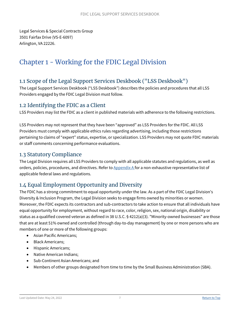Legal Services & Special Contracts Group 3501 Fairfax Drive (VS-E-6097) Arlington, VA 22226.

## <span id="page-6-0"></span>Chapter 1 - Working for the FDIC Legal Division

### <span id="page-6-1"></span>1.1 Scope of the Legal Support Services Deskbook ("LSS Deskbook")

The Legal Support Services Deskbook ("LSS Deskbook") describes the policies and procedures that all LSS Providers engaged by the FDIC Legal Division must follow.

#### <span id="page-6-2"></span>1.2 Identifying the FDIC as a Client

LSS Providers may list the FDIC as a client in published materials with adherence to the following restrictions.

LSS Providers may not represent that they have been "approved" as LSS Providers for the FDIC. All LSS Providers must comply with applicable ethics rules regarding advertising, including those restrictions pertaining to claims of "expert" status, expertise, or specialization. LSS Providers may not quote FDIC materials or staff comments concerning performance evaluations.

#### <span id="page-6-3"></span>1.3 Statutory Compliance

The Legal Division requires all LSS Providers to comply with all applicable statutes and regulations, as well as orders, policies, procedures, and directives. Refer to [Appendix A](https://www.fdic.gov/about/doing-business/legal-support-services-deskbook/statutory.html) for a non-exhaustive representative list of applicable federal laws and regulations.

### <span id="page-6-4"></span>1.4 Equal Employment Opportunity and Diversity

The FDIC has a strong commitment to equal opportunity under the law. As a part of the FDIC Legal Division's Diversity & Inclusion Program, the Legal Division seeks to engage firms owned by minorities or women. Moreover, the FDIC expects its contractors and sub-contractors to take action to ensure that all individuals have equal opportunity for employment, without regard to race, color, religion, sex, national origin, disability or status as a qualified covered veteran as defined in 38 U.S.C. § 4212(a)(3). "Minority-owned businesses" are those that are at least 51% owned and controlled (through day-to-day management) by one or more persons who are members of one or more of the following groups:

- Asian Pacific Americans;
- Black Americans;
- Hispanic Americans;
- Native American Indians;
- Sub-Continent Asian Americans; and
- Members of other groups designated from time to time by the Small Business Administration (SBA).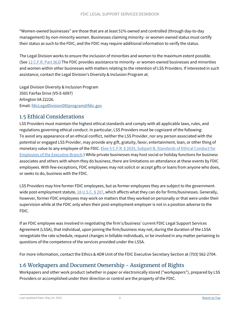"Women-owned businesses" are those that are at least 51% owned and controlled (through day-to-day management) by non-minority women. Businesses claiming minority- or women-owned status must certify their status as such to the FDIC, and the FDIC may require additional information to verify the status.

The Legal Division works to ensure the inclusion of minorities and women to the maximum extent possible. (See [12 C.F.R. Part 361\)](https://www.fdic.gov/regulations/laws/rules/2000-7900.html#2000part361) The FDIC provides assistance to minority- or women-owned businesses and minorities and women within other businesses with matters relating to the retention of LSS Providers. If interested in such assistance, contact the Legal Division's Diversity & Inclusion Program at:

Legal Division Diversity & Inclusion Program 3501 Fairfax Drive (VS-E-6097) Arlington VA 22226. Email[: fdicLegalDivisionDEIprogram@fdic.gov](mailto:fdicLegalDivisionDEIprogram@fdic.gov) 

### <span id="page-7-0"></span>1.5 Ethical Considerations

LSS Providers must maintain the highest ethical standards and comply with all applicable laws, rules, and regulations governing ethical conduct. In particular, LSS Providers must be cognizant of the following: To avoid any appearance of an ethical conflict, neither the LSS Provider, nor any person associated with the potential or engaged LSS Provider, may provide any gift, gratuity, favor, entertainment, loan, or other thing of monetary value to any employee of the FDIC. [\(See 5 C.F.R. § 2635, Subpart B, Standards of Ethical Conduct for](https://www.gpo.gov/fdsys/pkg/CFR-2018-title5-vol3/pdf/CFR-2018-title5-vol3-part2635-subpartB.pdf)  [Employees of the Executive Branch.](https://www.gpo.gov/fdsys/pkg/CFR-2018-title5-vol3/pdf/CFR-2018-title5-vol3-part2635-subpartB.pdf)) While private businesses may host social or holiday functions for business associates and others with whom they do business, there are limitations on attendance at these events by FDIC employees. With few exceptions, FDIC employees may not solicit or accept gifts or loans from anyone who does, or seeks to do, business with the FDIC.

LSS Providers may hire former FDIC employees, but as former employees they are subject to the government-wide post-employment statute, [18 U.S.C. § 207,](http://frwebgate.access.gpo.gov/cgi-bin/getdoc.cgi?dbname=browse_usc&docid=Cite:+18USC207) which affects what they can do for firms/businesses. Generally, however, former FDIC employees may work on matters that they worked on personally or that were under their supervision while at the FDIC only when their post-employment employer is not in a position adverse to the FDIC.

If an FDIC employee was involved in negotiating the firm's/business' current FDIC Legal Support Services Agreement (LSSA), that individual, upon joining the firm/business may not, during the duration of the LSSA renegotiate the rate schedule, request changes in billable individuals, or be involved in any matter pertaining to questions of the competence of the services provided under the LSSA.

For more information, contact the Ethics & ADR Unit of the FDIC Executive Secretary Section at (703) 562-2704.

### <span id="page-7-1"></span>1.6 Workpapers and Document Ownership - Assignment of Rights

Workpapers and other work product (whether in paper or electronically stored ("workpapers"), prepared by LSS Providers or accomplished under their direction or control are the property of the FDIC.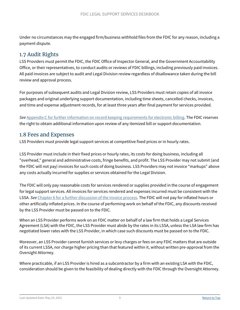Under no circumstances may the engaged firm/business withhold files from the FDIC for any reason, including a payment dispute.

### <span id="page-8-0"></span>1.7 Audit Rights

LSS Providers must permit the FDIC, the FDIC Office of Inspector General, and the Government Accountability Office, or their representatives, to conduct audits or reviews of FDIC billings, including previously paid invoices. All paid invoices are subject to audit and Legal Division review regardless of disallowance taken during the bill review and approval process.

For purposes of subsequent audits and Legal Division review, LSS Providers must retain copies of all invoice packages and original underlying support documentation, including time sheets, cancelled checks, invoices, and time and expense adjustment records, for at least three years after final payment for services provided.

*See* [Appendix C](#page-41-4) for further information on record keeping requirements for electronic billing. The FDIC reserves the right to obtain additional information upon review of any itemized bill or support documentation.

#### <span id="page-8-1"></span>1.8 Fees and Expenses

LSS Providers must provide legal support services at competitive fixed prices or in hourly rates.

LSS Provider must include in their fixed prices or hourly rates, its costs for doing business, including all "overhead," general and administrative costs, fringe benefits, and profit. The LSS Provider may not submit (and the FDIC will not pay) invoices for such costs of doing business. LSS Providers may not invoice "markups" above any costs actually incurred for supplies or services obtained for the Legal Division.

The FDIC will only pay reasonable costs for services rendered or supplies provided in the course of engagement for legal support services. All invoices for services rendered and expenses incurred must be consistent with the LSSA. *See* [Chapter 6](#page-28-2) for a further discussion of the invoice process. The FDIC will not pay for inflated hours or other artificially inflated prices. In the course of performing work on behalf of the FDIC, any discounts received by the LSS Provider must be passed on to the FDIC.

When an LSS Provider performs work on an FDIC matter on behalf of a law firm that holds a Legal Services Agreement (LSA) with the FDIC, the LSS Provider must abide by the rates in its LSSA, unless the LSA law firm has negotiated lower rates with the LSS Provider, in which case such discounts must be passed on to the FDIC.

Moreover, an LSS Provider cannot furnish services or levy charges or fees on any FDIC matters that are outside of its current LSSA, nor charge higher pricing than that featured within it, without written pre-approval from the Oversight Attorney.

Where practicable, if an LSS Provider is hired as a subcontractor by a firm with an existing LSA with the FDIC, consideration should be given to the feasibility of dealing directly with the FDIC through the Oversight Attorney.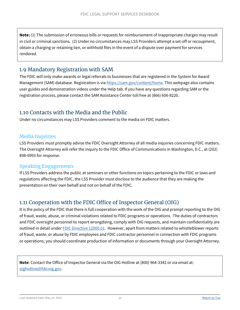**Note:** (1) The submission of erroneous bills or requests for reimbursement of inappropriate charges may result in civil or criminal sanctions. (2) Under no circumstances may LSS Providers attempt a set-off or recoupment, obtain a charging or retaining lien, or withhold files in the event of a dispute over payment for services rendered.

#### <span id="page-9-0"></span>1.9 Mandatory Registration with SAM

The FDIC will only make awards or legal referrals to businesses that are registered in the System for Award Management (SAM) database. Registration is via [https://sam.gov/content/home.](https://sam.gov/content/home) This webpage also contains user guides and demonstration videos under the Help tab. If you have any questions regarding SAM or the registration process, please contact the SAM Assistance Center toll free at (866) 606-8220.

### <span id="page-9-1"></span>1.10 Contacts with the Media and the Public

Under no circumstances may LSS Providers comment to the media on FDIC matters.

#### <span id="page-9-2"></span>Media Inquiries

LSS Providers must promptly advise the FDIC Oversight Attorney of all media inquiries concerning FDIC matters. The Oversight Attorney will refer the inquiry to the FDIC Office of Communications in Washington, D.C., at (202) 898-6993 for response.

#### <span id="page-9-3"></span>Speaking Engagements

If LSS Providers address the public at seminars or other functions on topics pertaining to the FDIC or laws and regulations affecting the FDIC, the LSS Provider must disclose to the audience that they are making the presentation on their own behalf and not on behalf of the FDIC.

### <span id="page-9-4"></span>1.11 Cooperation with the FDIC Office of Inspector General (OIG)

It is the policy of the FDIC that there is full cooperation with the work of the OIG and prompt reporting to the OIG of fraud, waste, abuse, or criminal violations related to FDIC programs or operations. The duties of contractors and FDIC oversight personnel to report wrongdoing, comply with OIG requests, and maintain confidentiality are outlined in detail unde[r FDIC Directive 12000.01.](https://www.fdic.gov/formsdocuments/d12000-01.pdf) However, apart from matters related to whistleblower reports of fraud, waste, or abuse by FDIC employees and FDIC contractor personnel in connection with FDIC programs or operations, you should coordinate production of information or documents through your Oversight Attorney.

**Note**: Contact the Office of Inspector General via the OIG Hotline at (800) 964-3342 or via email at: [oighotline@fdicoig.gov.](mailto:oighotline@fdicoig.gov)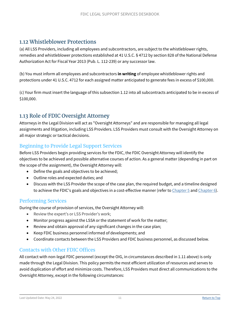#### <span id="page-10-0"></span>1.12 Whistleblower Protections

(a) All LSS Providers, including all employees and subcontractors, are subject to the whistleblower rights, remedies and whistleblower protections established at 41 U.S.C. § 4712 by section 828 of the National Defense Authorization Act for Fiscal Year 2013 (Pub. L. 112-239) or any successor law.

(b) You must inform all employees and subcontractors **in writing** of employee whistleblower rights and protections under 41 U.S.C. 4712 for each assigned matter anticipated to generate fees in excess of \$100,000.

(c) Your firm must insert the language of this subsection 1.12 into all subcontracts anticipated to be in excess of \$100,000.

### <span id="page-10-1"></span>1.13 Role of FDIC Oversight Attorney

Attorneys in the Legal Division will act as "Oversight Attorneys" and are responsible for managing all legal assignments and litigation, including LSS Providers. LSS Providers must consult with the Oversight Attorney on all major strategic or tactical decisions.

#### <span id="page-10-2"></span>Beginning to Provide Legal Support Services

Before LSS Providers begin providing services for the FDIC, the FDIC Oversight Attorney will identify the objectives to be achieved and possible alternative courses of action. As a general matter (depending in part on the scope of the assignment), the Oversight Attorney will:

- Define the goals and objectives to be achieved;
- Outline roles and expected duties; and
- Discuss with the LSS Provider the scope of the case plan, the required budget, and a timeline designed to achieve the FDIC's goals and objectives in a cost-effective manner (refer to [Chapter 5](#page-24-1) and [Chapter 6\)](#page-28-2).

#### <span id="page-10-3"></span>Performing Services

During the course of provision of services, the Oversight Attorney will:

- Review the expert's or LSS Provider's work;
- Monitor progress against the LSSA or the statement of work for the matter;
- Review and obtain approval of any significant changes in the case plan;
- Keep FDIC business personnel informed of developments; and
- Coordinate contacts between the LSS Providers and FDIC business personnel, as discussed below.

#### <span id="page-10-4"></span>Contacts with Other FDIC Offices

All contact with non-legal FDIC personnel (except the OIG, in circumstances described in 1.11 above) is only made through the Legal Division. This policy permits the most efficient utilization of resources and serves to avoid duplication of effort and minimize costs. Therefore, LSS Providers must direct all communications to the Oversight Attorney, except in the following circumstances: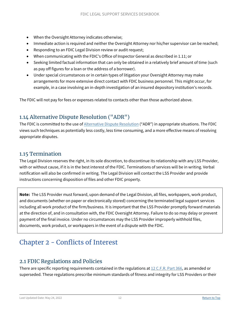- When the Oversight Attorney indicates otherwise;
- Immediate action is required and neither the Oversight Attorney nor his/her supervisor can be reached;
- Responding to an FDIC Legal Division review or audit request;
- When communicating with the FDIC's Office of Inspector General as described in 1.11; or
- Seeking limited factual information that can only be obtained in a relatively brief amount of time (such as pay off figures for a loan or the address of a borrower).
- Under special circumstances or in certain types of litigation your Oversight Attorney may make arrangements for more extensive direct contact with FDIC business personnel. This might occur, for example, in a case involving an in-depth investigation of an insured depository institution's records.

The FDIC will not pay for fees or expenses related to contacts other than those authorized above.

### <span id="page-11-0"></span>1.14 Alternative Dispute Resolution ("ADR")

The FDIC is committed to the use of **[Alternative Dispute Resolution](https://www.fdic.gov/about/doing-business/legal-support-services-deskbook/index.html#ADR)** ("ADR") in appropriate situations. The FDIC views such techniques as potentially less costly, less time consuming, and a more effective means of resolving appropriate disputes.

#### <span id="page-11-1"></span>1.15 Termination

The Legal Division reserves the right, in its sole discretion, to discontinue its relationship with any LSS Provider, with or without cause, if it is in the best interest of the FDIC. Terminations of services will be in writing. Verbal notification will also be confirmed in writing. The Legal Division will contact the LSS Provider and provide instructions concerning disposition of files and other FDIC property.

**Note:** The LSS Provider must forward, upon demand of the Legal Division, all files, workpapers, work product, and documents (whether on paper or electronically stored) concerning the terminated legal support services including all work product of the firm/business. It is important that the LSS Provider promptly forward materials at the direction of, and in consultation with, the FDIC Oversight Attorney. Failure to do so may delay or prevent payment of the final invoice. Under no circumstances may the LSS Provider improperly withhold files, documents, work product, or workpapers in the event of a dispute with the FDIC.

## <span id="page-11-2"></span>Chapter 2 - Conflicts of Interest

### <span id="page-11-3"></span>2.1 FDIC Regulations and Policies

There are specific reporting requirements contained in the regulations at [12 C.F.R. Part 366,](https://www.fdic.gov/regulations/laws/rules/2000-8800.html) as amended or superseded. These regulations prescribe minimum standards of fitness and integrity for LSS Providers or their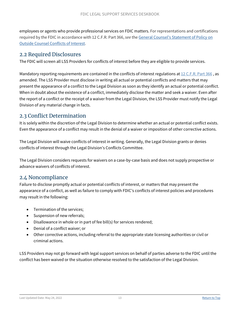employees or agents who provide professional services on FDIC matters. For representations and certifications required by the FDIC in accordance with 12 C.F.R. Part 366, *see* th[e General Counsel's Statement of Policy on](https://www.fdic.gov/about/doing-business/outside-counsel/2021-sop-conflictsofinterest.html)  Outside Counsel [Conflicts of Interest.](https://www.fdic.gov/about/doing-business/outside-counsel/2021-sop-conflictsofinterest.html)

#### <span id="page-12-0"></span>2.2 Required Disclosures

The FDIC will screen all LSS Providers for conflicts of interest before they are eligible to provide services.

Mandatory reporting requirements are contained in the conflicts of interest regulations at [12 C.F.R. Part 366](https://www.fdic.gov/regulations/laws/rules/2000-8800.html), as amended. The LSS Provider must disclose in writing all actual or potential conflicts and matters that may present the appearance of a conflict to the Legal Division as soon as they identify an actual or potential conflict. When in doubt about the existence of a conflict, immediately disclose the matter and seek a waiver. Even after the report of a conflict or the receipt of a waiver from the Legal Division, the LSS Provider must notify the Legal Division of any material change in facts.

#### <span id="page-12-1"></span>2.3 Conflict Determination

It is solely within the discretion of the Legal Division to determine whether an actual or potential conflict exists. Even the appearance of a conflict may result in the denial of a waiver or imposition of other corrective actions.

The Legal Division will waive conflicts of interest in writing. Generally, the Legal Division grants or denies conflicts of interest through the Legal Division's Conflicts Committee.

The Legal Division considers requests for waivers on a case-by-case basis and does not supply prospective or advance waivers of conflicts of interest.

#### <span id="page-12-2"></span>2.4 Noncompliance

Failure to disclose promptly actual or potential conflicts of interest, or matters that may present the appearance of a conflict, as well as failure to comply with FDIC's conflicts of interest policies and procedures may result in the following:

- Termination of the services;
- Suspension of new referrals:
- Disallowance in whole or in part of fee bill(s) for services rendered;
- Denial of a conflict waiver; or
- Other corrective actions, including referral to the appropriate state licensing authorities or civil or criminal actions.

LSS Providers may not go forward with legal support services on behalf of parties adverse to the FDIC until the conflict has been waived or the situation otherwise resolved to the satisfaction of the Legal Division.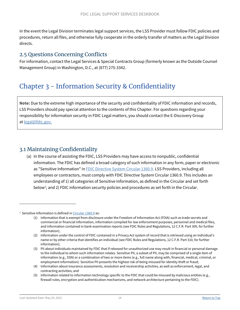In the event the Legal Division terminates legal support services, the LSS Provider must follow FDIC policies and procedures, return all files, and otherwise fully cooperate in the orderly transfer of matters as the Legal Division directs.

### <span id="page-13-0"></span>2.5 Questions Concerning Conflicts

For information, contact the Legal Services & Special Contracts Group (formerly known as the Outside Counsel Management Group) in Washington, D.C., at (877) 275-3342.

## <span id="page-13-1"></span>Chapter 3 - Information Security & Confidentiality

**Note:** Due to the extreme high importance of the security and confidentiality of FDIC information and records, LSS Providers should pay special attention to the contents of this Chapter. For questions regarding your responsibility for information security in FDIC Legal matters, you should contact the E-Discovery Group at [legal@fdic.gov.](mailto:legal@fdic.gov?subject=Legal%20Support%20Services%20Deskbook)

### <span id="page-13-2"></span>3.1 Maintaining Confidentiality

(a) In the course of assisting the FDIC, LSS Providers may have access to nonpublic, confidential information. The FDIC has defined a broad category of such information in any form, paper or electronic as "Sensitive Information" in [FDIC Directive System Circular 1360.9.](https://www.fdic.gov/buying/goods/formsdocuments/1360-9.pdf) LSS Providers, including all employees or contractors, must comply with FDIC Directive System Circular 1360.9. This includes an understanding of 1) all categories of Sensitive Information, as defined in the Circular and set forth below<sup>1</sup>; and 2) FDIC information security policies and procedures as set forth in the Circular.

 $\overline{a}$ 

<span id="page-13-3"></span><sup>&</sup>lt;sup>1</sup> Sensitive Information is defined i[n Circular 1360.9](https://www.fdic.gov/buying/goods/formsdocuments/1360-9.pdf) as:

<sup>(1)</sup> Information that is exempt from disclosure under the Freedom of Information Act (FOIA) such as trade secrets and commercial or financial information, information compiled for law enforcement purposes, personnel and medical files, and information contained in bank examination reports (see FDIC Rules and Regulations, 12 C.F.R. Part 309, for further information);

<sup>(2)</sup> Information under the control of FDIC contained in a Privacy Act system of record that is retrieved using an individual's name or by other criteria that identifies an individual (see FDIC Rules and Regulations, 12 C.F.R. Part 310, for further information);

<sup>(3)</sup> PII about individuals maintained by FDIC that if released for unauthorized use may result in financial or personal damage to the individual to whom such information relates. Sensitive PII, a subset of PII, may be comprised of a single item of information (e.g., SSN) or a combination of two or more items (e.g., full name along with, financial, medical, criminal, or employment information). Sensitive PII presents the highest risk of being misused for identity theft or fraud;

<sup>(4)</sup> Information about insurance assessments, resolution and receivership activities, as well as enforcement, legal, and contracting activities; and

<sup>(5)</sup> Information related to information technology specific to the FDIC that could be misused by malicious entities (e.g., firewall rules, encryption and authentication mechanisms, and network architecture pertaining to the FDIC).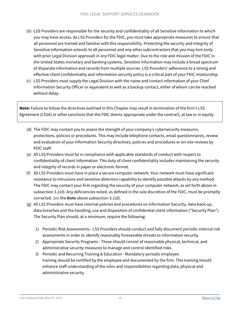- (b) LSS Providers are responsible for the security and confidentiality of all Sensitive Information to which you may have access. As LSS Providers for the FDIC, you must take appropriate measures to ensure that all personnel are trained and familiar with this responsibility. Protecting the security and integrity of Sensitive Information extends to all personnel and any other subcontractors that you may hire (only with prior Legal Division approval) in any FDIC legal matter. Due to the role and mission of the FDIC in the United States monetary and banking systems, Sensitive Information may include a broad spectrum of disparate information and records from multiple sources. LSS Providers' adherence to a strong and effective client confidentiality and information security policy is a critical part of your FDIC relationship.
- (c) LSS Providers must supply the Legal Division with the name and contact information of your Chief Information Security Officer or equivalent as well as a backup contact, either of whom can be reached without delay.

**Note:** Failure to follow the directives outlined in this Chapter may result in termination of the firm's LSS Agreement (LSSA) or other sanctions that the FDIC deems appropriate under the contract, at law or in equity.

- (d) The FDIC may contact you to assess the strength of your company's cybersecurity measures, protections, policies or procedures. This may include telephone contacts, email questionnaires, review and evaluation of your Information Security directives, policies and procedures or on-site reviews by FDIC staff.
- (e) All LSS Providers must be in compliance with applicable standards of conduct with respect to confidentiality of client information. This duty of client confidentiality includes maintaining the security and integrity of records in paper or electronic format.
- (f) All LSS Providers must have in place a secure computer network. Your network must have significant resistance to intrusions and sensitive detection capability to identify possible attacks by any method. The FDIC may contact your firm regarding the security of your computer network, as set forth above in subsection 3.1(d). Any deficiencies noted, as defined in the sole discretion of the FDIC, must be promptly corrected. *See* the **Note** above subsection 3.1(d).
- (g) All LSS Providers must have internal policies and procedures on Information Security, data back-up, data breaches and the handling, use and disposition of confidential client information ("Security Plan"). The Security Plan should, at a minimum, require the following:
	- 1) Periodic Risk Assessments LSS Providers should conduct and fully document periodic internal risk assessments in order to identify reasonably foreseeable threats to information security.
	- 2) Appropriate Security Programs These should consist of reasonable physical, technical, and administrative security measures to manage and control identified risks.
	- 3) Periodic and Recurring Training & Education Mandatory periodic employee training should be certified by the employee and documented by the firm. This training should enhance staff understanding of the roles and responsibilities regarding data, physical and administrative security.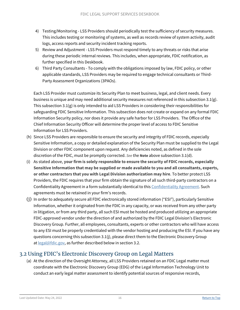- 4) Testing/Monitoring LSS Providers should periodically test the sufficiency of security measures. This includes testing or monitoring of systems, as well as records review of system activity, audit logs, access reports and security incident tracking reports.
- 5) Review and Adjustment LSS Providers must respond timely to any threats or risks that arise during these periodic internal reviews. This includes, when appropriate, FDIC notification, as further specified in this Deskbook.
- 6) Third Party Consultants To comply with the obligations imposed by law, FDIC policy, or other applicable standards, LSS Providers may be required to engage technical consultants or Third-Party Assessment Organizations (3PAOs).

Each LSS Provider must customize its Security Plan to meet business, legal, and client needs. Every business is unique and may need additional security measures not referenced in this subsection 3.1(g). This subsection 3.1(g) is only intended to aid LSS Providers in considering their responsibilities for safeguarding FDIC Sensitive Information. This subsection does not create or expand on any formal FDIC Information Security policy, nor does it provide any safe harbor for LSS Providers. The Office of the Chief Information Security Officer will determine the proper level of access to FDIC Sensitive Information for LSS Providers.

- (h) Since LSS Providers are responsible to ensure the security and integrity of FDIC records, especially Sensitive Information, a copy or detailed explanation of the Security Plan must be supplied to the Legal Division or other FDIC component upon request. Any deficiencies noted, as defined in the sole discretion of the FDIC, must be promptly corrected. *See* the **Note** above subsection 3.1(d).
- (i) As stated above, **your firm is solely responsible to ensure the security of FDIC records, especially Sensitive Information that may be supplied or made available to you and all consultants, experts, or other contractors that you with Legal Division authorization may hire**. To better protect LSS Providers, the FDIC requires that your firm obtain the signature of all such third-party contractors on a Confidentiality Agreement in a form substantially identical to this [Confidentiality Agreement.](https://www.fdic.gov/about/doing-business/legal-support-services-deskbook/forms/confi-agree-legal-3rd-party-vendor.pdf) Such agreements must be retained in your firm's records.
- (j) In order to adequately secure all FDIC electronically stored information ("ESI"), particularly Sensitive Information, whether it originated from the FDIC in any capacity, or was received from any other party in litigation, or from any third party, all such ESI must be hosted and produced utilizing an appropriate FDIC-approved vendor under the direction of and authorized by the FDIC Legal Division's Electronic Discovery Group. Further, all employees, consultants, experts or other contractors who will have access to any ESI must be properly credentialed with the vendor hosting and producing the ESI. If you have any questions concerning this subsection 3.1(j), please direct them to the Electronic Discovery Group at [legal@fdic.gov,](mailto:legal@fdic.gov?subject=Legal%20Support%20Services%20Deskbook) as further described below in section 3.2.

### <span id="page-15-0"></span>3.2 Using FDIC's Electronic Discovery Group on Legal Matters

(a) At the direction of the Oversight Attorney, all LSS Providers retained on an FDIC Legal matter must coordinate with the Electronic Discovery Group (EDG) of the Legal Information Technology Unit to conduct an early legal matter assessment to identify potential sources of responsive records,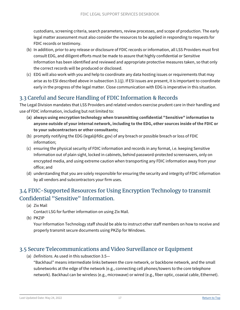custodians, screening criteria, search parameters, review processes, and scope of production. The early legal matter assessment must also consider the resources to be applied in responding to requests for FDIC records or testimony.

- (b) In addition, prior to any release or disclosure of FDIC records or information, all LSS Providers must first consult EDG, and diligent efforts must be made to assure that highly confidential or Sensitive Information has been identified and reviewed and appropriate protective measures taken, so that only the correct records will be produced or disclosed.
- (c) EDG will also work with you and help to coordinate any data hosting issues or requirements that may arise as to ESI described above in subsection 3.1(j). If ESI issues are present, it is important to coordinate early in the progress of the legal matter. Close communication with EDG is imperative in this situation.

### <span id="page-16-0"></span>3.3 Careful and Secure Handling of FDIC Information & Records

The Legal Division mandates that LSS Providers and related vendors exercise prudent care in their handling and use of FDIC information, including but not limited to:

- **(a) always using encryption technology when transmitting confidential "Sensitive" information to anyone outside of your internal network, including to the EDG, other sources inside of the FDIC or to your subcontractors or other consultants;**
- (b) promptly notifying the EDG (legal@fdic.gov) of any breach or possible breach or loss of FDIC information;
- (c) ensuring the physical security of FDIC information and records in any format, i.e. keeping Sensitive Information out of plain sight, locked in cabinets, behind password-protected screensavers, only on encrypted media, and using extreme caution when transporting any FDIC information away from your office; and
- (d) understanding that you are solely responsible for ensuring the security and integrity of FDIC information by all vendors and subcontractors your firm uses.

### <span id="page-16-1"></span>3.4 FDIC-Supported Resources for Using Encryption Technology to transmit Confidential "Sensitive" Information.

(a) Zix Mail

Contact LSG for further information on using Zix Mail.

(b) PKZIP

Your Information Technology staff should be able to instruct other staff members on how to receive and properly transmit secure documents using PKZip for Windows.

### <span id="page-16-2"></span>3.5 Secure Telecommunications and Video Surveillance or Equipment

(a) *Definitions*. As used in this subsection 3.5—

"Backhaul" means intermediate links between the core network, or backbone network, and the small subnetworks at the edge of the network (e.g., connecting cell phones/towers to the core telephone network). Backhaul can be wireless (e.g., microwave) or wired (e.g., fiber optic, coaxial cable, Ethernet).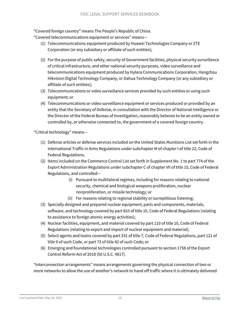"Covered foreign country" means The People's Republic of China.

"Covered telecommunications equipment or services" means—

- (1) Telecommunications equipment produced by Huawei Technologies Company or ZTE Corporation (or any subsidiary or affiliate of such entities);
- (2) For the purpose of public safety, security of Government facilities, physical security surveillance of critical infrastructure, and other national security purposes, video surveillance and telecommunications equipment produced by Hytera Communications Corporation, Hangzhou Hikvision Digital Technology Company, or Dahua Technology Company (or any subsidiary or affiliate of such entities);
- (3) Telecommunications or video surveillance services provided by such entities or using such equipment; or
- (4) Telecommunications or video surveillance equipment or services produced or provided by an entity that the Secretary of Defense, in consultation with the Director of National Intelligence or the Director of the Federal Bureau of Investigation, reasonably believes to be an entity owned or controlled by, or otherwise connected to, the government of a covered foreign country.

"Critical technology" means—

- (1) Defense articles or defense services included on the United States Munitions List set forth in the International Traffic in Arms Regulations under subchapter M of chapter I of title 22, Code of Federal Regulations;
- (2) Items included on the Commerce Control List set forth in Supplement No. 1 to part 774 of the Export Administration Regulations under subchapter C of chapter VII of title 15, Code of Federal Regulations, and controlled—
	- (i) Pursuant to multilateral regimes, including for reasons relating to national security, chemical and biological weapons proliferation, nuclear nonproliferation, or missile technology; or
	- (ii) For reasons relating to regional stability or surreptitious listening;
- (3) Specially designed and prepared nuclear equipment, parts and components, materials, software, and technology covered by part 810 of title 10, Code of Federal Regulations (relating to assistance to foreign atomic energy activities);
- (4) Nuclear facilities, equipment, and material covered by part 110 of title 10, Code of Federal Regulations (relating to export and import of nuclear equipment and material);
- (5) Select agents and toxins covered by part 331 of title 7, Code of Federal Regulations, part 121 of title 9 of such Code, or part 73 of title 42 of such Code; or
- (6) Emerging and foundational technologies controlled pursuant to section 1758 of the Export Control Reform Act of 2018 (50 U.S.C. 4817).

"Interconnection arrangements" means arrangements governing the physical connection of two or more networks to allow the use of another's network to hand off traffic where it is ultimately delivered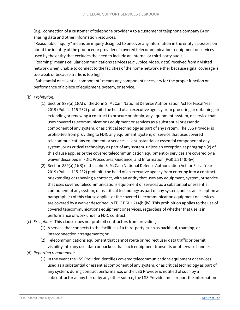(*e.g.*, connection of a customer of telephone provider A to a customer of telephone company B) or sharing data and other information resources.

"Reasonable inquiry" means an inquiry designed to uncover any information in the entity's possession about the identity of the producer or provider of covered telecommunications equipment or services used by the entity that excludes the need to include an internal or third-party audit.

"Roaming" means cellular communications services (*e.g.*, voice, video, data) received from a visited network when unable to connect to the facilities of the home network either because signal coverage is too weak or because traffic is too high.

"Substantial or essential component" means any component necessary for the proper function or performance of a piece of equipment, system, or service.

#### (b) *Prohibition*.

- (1) Section 889(a)(1)(A) of the John S. McCain National Defense Authorization Act for Fiscal Year 2019 (Pub. L. 115-232) prohibits the head of an executive agency from procuring or obtaining, or extending or renewing a contract to procure or obtain, any equipment, system, or service that uses covered telecommunications equipment or services as a substantial or essential component of any system, or as critical technology as part of any system. The LSS Provider is prohibited from providing to FDIC any equipment, system, or service that uses covered telecommunications equipment or services as a substantial or essential component of any system, or as critical technology as part of any system, unless an exception at paragraph (c) of this clause applies or the covered telecommunication equipment or services are covered by a waiver described in FDIC Procedures, Guidance, and Information (PGI) 1.214(b)(iv).
- (2) Section 889(a)(1)(B) of the John S. McCain National Defense Authorization Act for Fiscal Year 2019 (Pub. L. 115-232) prohibits the head of an executive agency from entering into a contract, or extending or renewing a contract, with an entity that uses any equipment, system, or service that uses covered telecommunications equipment or services as a substantial or essential component of any system, or as critical technology as part of any system, unless an exception at paragraph (c) of this clause applies or the covered telecommunication equipment or services are covered by a waiver described in FDIC PGI 1.214(b)(iv). This prohibition applies to the use of covered telecommunications equipment or services, regardless of whether that use is in performance of work under a FDIC contract.
- (c) *Exceptions*. This clause does not prohibit contractors from providing—
	- (1) A service that connects to the facilities of a third-party, such as backhaul, roaming, or interconnection arrangements; or
	- (2) Telecommunications equipment that cannot route or redirect user data traffic or permit visibility into any user data or packets that such equipment transmits or otherwise handles.
- (d) *Reporting requirement*:
	- (1) In the event the LSS Provider identifies covered telecommunications equipment or services used as a substantial or essential component of any system, or as critical technology as part of any system, during contract performance, or the LSS Provider is notified of such by a subcontractor at any tier or by any other source, the LSS Provider must report the information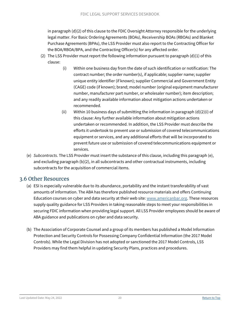in paragraph (d)(2) of this clause to the FDIC Oversight Attorney responsible for the underlying legal matter. For Basic Ordering Agreements (BOAs), Receivership BOAs (RBOAs) and Blanket Purchase Agreements (BPAs), the LSS Provider must also report to the Contracting Officer for the BOA/RBOA/BPA, and the Contracting Officer(s) for any affected order.

- (2) The LSS Provider must report the following information pursuant to paragraph  $(d)(1)$  of this clause:
	- (i) Within one business day from the date of such identification or notification: The contract number; the order number(s), if applicable; supplier name; supplier unique entity identifier (if known); supplier Commercial and Government Entity (CAGE) code (if known); brand; model number (original equipment manufacturer number, manufacturer part number, or wholesaler number); item description; and any readily available information about mitigation actions undertaken or recommended.
	- (ii) Within 10 business days of submitting the information in paragraph (d)(2)(i) of this clause: Any further available information about mitigation actions undertaken or recommended. In addition, the LSS Provider must describe the efforts it undertook to prevent use or submission of covered telecommunications equipment or services, and any additional efforts that will be incorporated to prevent future use or submission of covered telecommunications equipment or services.
- (e) *Subcontracts*. The LSS Provider must insert the substance of this clause, including this paragraph (e), and excluding paragraph (b)(2), in all subcontracts and other contractual instruments, including subcontracts for the acquisition of commercial items.

#### <span id="page-19-0"></span>3.6 Other Resources

- (a) ESI is especially vulnerable due to its abundance, portability and the instant transferability of vast amounts of information. The ABA has therefore published resource materials and offers Continuing Education courses on cyber and data security at their web site: [www.americanbar.org.](https://www.americanbar.org/) These resources supply quality guidance for LSS Providers in taking reasonable steps to meet your responsibilities in securing FDIC information when providing legal support. All LSS Provider employees should be aware of ABA guidance and publications on cyber and data security.
- (b) The Association of Corporate Counsel and a group of its members has published a Model Information Protection and Security Controls for Possessing Company Confidential Information (the 2017 Model Controls). While the Legal Division has not adopted or sanctioned the 2017 Model Controls, LSS Providers may find them helpful in updating Security Plans, practices and procedures.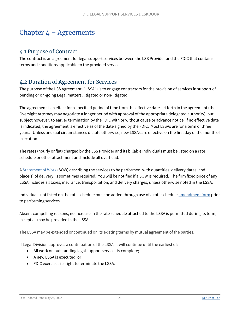## <span id="page-20-0"></span>Chapter  $4 -$  Agreements

#### <span id="page-20-1"></span>4.1 Purpose of Contract

The contract is an agreement for legal support services between the LSS Provider and the FDIC that contains terms and conditions applicable to the provided services.

### <span id="page-20-2"></span>4.2 Duration of Agreement for Services

The purpose of the LSS Agreement ("LSSA") is to engage contractors for the provision of services in support of pending or on-going Legal matters, litigated or non-litigated.

The agreement is in effect for a specified period of time from the effective date set forth in the agreement (the Oversight Attorney may negotiate a longer period with approval of the appropriate delegated authority), but subject however, to earlier termination by the FDIC with or without cause or advance notice. If no effective date is indicated, the agreement is effective as of the date signed by the FDIC. Most LSSAs are for a term of three years. Unless unusual circumstances dictate otherwise, new LSSAs are effective on the first day of the month of execution.

The rates (hourly or flat) charged by the LSS Provider and its billable individuals must be listed on a rate schedule or other attachment and include all overhead.

A [Statement of Work](https://www.fdic.gov/about/doing-business/legal-support-services-deskbook/sow.html) (SOW) describing the services to be performed, with quantities, delivery dates, and place(s) of delivery, is sometimes required. You will be notified if a SOW is required. The firm fixed price of any LSSA includes all taxes, insurance, transportation, and delivery charges, unless otherwise noted in the LSSA.

Individuals not listed on the rate schedule must be added through use of a rate schedule **amendment** form prior to performing services.

Absent compelling reasons, no increase in the rate schedule attached to the LSSA is permitted during its term, except as may be provided in the LSSA.

The LSSA may be extended or continued on its existing terms by mutual agreement of the parties.

If Legal Division approves a continuation of the LSSA, it will continue until the earliest of:

- All work on outstanding legal support services is complete;
- A new LSSA is executed; or
- FDIC exercises its right to terminate the LSSA.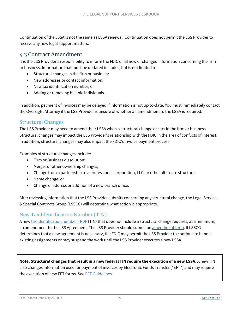Continuation of the LSSA is not the same as LSSA renewal. Continuation does not permit the LSS Provider to receive any new legal support matters.

### <span id="page-21-0"></span>4.3 Contract Amendment

It is the LSS Provider's responsibility to inform the FDIC of all new or changed information concerning the firm or business. Information that must be updated includes, but is not limited to:

- Structural changes in the firm or business;
- New addresses or contact information;
- New tax identification number; or
- Adding or removing billable individuals.

In addition, payment of invoices may be delayed if information is not up-to-date. You must immediately contact the Oversight Attorney if the LSS Provider is unsure of whether an amendment to the LSSA is required.

#### <span id="page-21-1"></span>Structural Changes

The LSS Provider may need to amend their LSSA when a structural change occurs in the firm or business. Structural changes may impact the LSS Provider's relationship with the FDIC in the area of conflicts of interest. In addition, structural changes may also impact the FDIC's invoice payment process.

Examples of structural changes include:

- Firm or Business dissolution;
- Merger or other ownership changes;
- Change from a partnership to a professional corporation, LLC, or other alternate structure;
- Name change; or
- Change of address or addition of a new branch office.

After reviewing information that the LSS Provider submits concerning any structural change, the Legal Services & Special Contracts Group (LSSCG) will determine what action is appropriate.

#### <span id="page-21-2"></span>New Tax Identification Number (TIN)

A new tax identification number - PDE (TIN) that does not include a structural change requires, at a minimum, an amendment to the LSS Agreement. The LSS Provider should submit an [amendment form.](https://powerforms.docusign.net/81cba47c-8647-4885-9ccb-6d66b732648b?env=na3&acct=d1b170bb-f074-48b0-b1cf-ba9c15fbb5e7&accountId=d1b170bb-f074-48b0-b1cf-ba9c15fbb5e7) If LSSCG determines that a new agreement is necessary, the FDIC may permit the LSS Provider to continue to handle existing assignments or may suspend the work until the LSS Provider executes a new LSSA.

**Note: Structural changes that result in a new federal TIN require the execution of a new LSSA.** A new TIN also changes information used for payment of invoices by Electronic Funds Transfer ("EFT") and may require the execution of new EFT forms. See [EFT Guidelines.](https://www.fdic.gov/about/doing-business/legal-support-services-deskbook/eftlssd.html)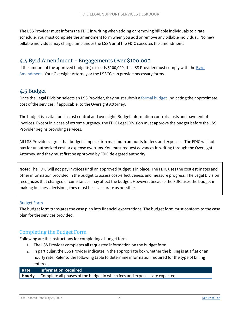The LSS Provider must inform the FDIC in writing when adding or removing billable individuals to a rate schedule. You must complete the amendment form when you add or remove any billable individual. No new billable individual may charge time under the LSSA until the FDIC executes the amendment.

#### <span id="page-22-0"></span>4.4 Byrd Amendment - Engagements Over \$100,000

If the amount of the approved budget(s) exceeds \$100,000, the LSS Provider must comply with the [Byrd](https://www.fdic.gov/about/doing-business/legal-support-services-deskbook/byrdamendmentlssd.html)  [Amendment.](https://www.fdic.gov/about/doing-business/legal-support-services-deskbook/byrdamendmentlssd.html) Your Oversight Attorney or the LSSCG can provide necessary forms.

#### <span id="page-22-1"></span>4.5 Budget

Once the Legal Division selects an LSS Provider, they must submit a [formal budget](https://www.fdic.gov/about/doing-business/legal-support-services-deskbook/budgetformlssd.html) indicating the approximate cost of the services, if applicable, to the Oversight Attorney.

The budget is a vital tool in cost control and oversight. Budget information controls costs and payment of invoices. Except in a case of extreme urgency, the FDIC Legal Division must approve the budget before the LSS Provider begins providing services.

All LSS Providers agree that budgets impose firm maximum amounts for fees and expenses. The FDIC will not pay for unauthorized cost or expense overruns. You must request advances in writing through the Oversight Attorney, and they must first be approved by FDIC delegated authority.

**Note:** The FDIC will not pay invoices until an approved budget is in place. The FDIC uses the cost estimates and other information provided in the budget to assess cost-effectiveness and measure progress. The Legal Division recognizes that changed circumstances may affect the budget. However, because the FDIC uses the budget in making business decisions, they must be as accurate as possible.

#### [Budget Form](https://www.fdic.gov/about/doing-business/legal-support-services-deskbook/budgetformlssd.html)

The budget form translates the case plan into financial expectations. The budget form must conform to the case plan for the services provided.

#### <span id="page-22-2"></span>Completing the Budget Form

Following are the instructions for completing a budget form.

- 1. The LSS Provider completes all requested information on the budget form.
- 2. In particular, the LSS Provider indicates in the appropriate box whether the billing is at a flat or an hourly rate. Refer to the following table to determine information required for the type of billing entered.

#### **Rate Information Required Hourly** Complete all phases of the budget in which fees and expenses are expected.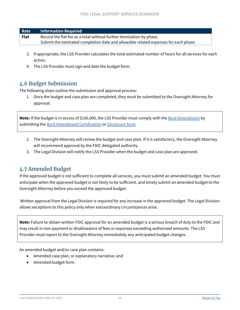| Rate | <b>Information Required</b>                                                        |
|------|------------------------------------------------------------------------------------|
| Flat | Record the flat fee as a total without further itemization by phase.               |
|      | Submit the estimated completion date and allowable related expenses for each phase |

- 3. If appropriate, the LSS Provider calculates the total estimated number of hours for all services for each action.
- 4. The LSS Provider must sign and date the budget form.

#### <span id="page-23-0"></span>4.6 Budget Submission

The following steps outline the submission and approval process:

1. Once the budget and case plan are completed, they must be submitted to the Oversight Attorney for approval.

**Note:** If the budget is in excess of \$100,000, the LSS Provider must comply with the **Byrd Amendment** by submitting the **Byrd Amendment Certification** or **Disclosure form**.

- 2. The Oversight Attorney will review the budget and case plan. If it is satisfactory, the Oversight Attorney will recommend approval by the FDIC delegated authority.
- 3. The Legal Division will notify the LSS Provider when the budget and case plan are approved.

### <span id="page-23-1"></span>4.7 Amended Budget

If the approved budget is not sufficient to complete all services, you must submit an amended budget. You must anticipate when the approved budget is not likely to be sufficient, and timely submit an amended budget to the Oversight Attorney before you exceed the approved budget.

Written approval from the Legal Division is required for any increase in the approved budget. The Legal Division allows exceptions to this policy only when extraordinary circumstances arise.

**Note:** Failure to obtain written FDIC approval for an amended budget is a serious breach of duty to the FDIC and may result in non-payment or disallowance of fees or expenses exceeding authorized amounts. The LSS Provider must report to the Oversight Attorney immediately any anticipated budget changes.

An amended budget and/or case plan contains:

- Amended case plan, or explanatory narrative; and
- Amended budget form.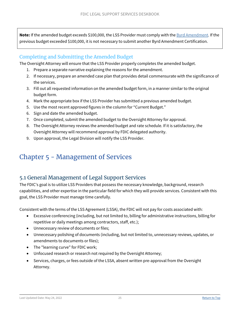**Note:** If the amended budget exceeds \$100,000, the LSS Provider must comply with the [Byrd Amendment.](https://www.fdic.gov/about/doing-business/legal-support-services-deskbook/byrdamendmentlssd.html) If the previous budget exceeded \$100,000, it is not necessary to submit another Byrd Amendment Certification.

#### <span id="page-24-0"></span>Completing and Submitting the Amended Budget

The Oversight Attorney will ensure that the LSS Provider properly completes the amended budget.

- 1. Prepare a separate narrative explaining the reasons for the amendment.
- 2. If necessary, prepare an amended case plan that provides detail commensurate with the significance of the services.
- 3. Fill out all requested information on the amended budget form, in a manner similar to the original budget form.
- 4. Mark the appropriate box if the LSS Provider has submitted a previous amended budget.
- 5. Use the most recent approved figures in the column for "Current Budget."
- 6. Sign and date the amended budget.
- 7. Once completed, submit the amended budget to the Oversight Attorney for approval.
- 8. The Oversight Attorney reviews the amended budget and rate schedule. If it is satisfactory, the Oversight Attorney will recommend approval by FDIC delegated authority.
- 9. Upon approval, the Legal Division will notify the LSS Provider.

## <span id="page-24-1"></span>Chapter 5 - Management of Services

### <span id="page-24-2"></span>5.1 General Management of Legal Support Services

The FDIC's goal is to utilize LSS Providers that possess the necessary knowledge, background, research capabilities, and other expertise in the particular field for which they will provide services. Consistent with this goal, the LSS Provider must manage time carefully.

Consistent with the terms of the LSS Agreement (LSSA), the FDIC will not pay for costs associated with:

- Excessive conferencing (including, but not limited to, billing for administrative instructions, billing for repetitive or daily meetings among contractors, staff, etc.);
- Unnecessary review of documents or files;
- Unnecessary polishing of documents (including, but not limited to, unnecessary reviews, updates, or amendments to documents or files);
- The "learning curve" for FDIC work;
- Unfocused research or research not required by the Oversight Attorney;
- Services, charges, or fees outside of the LSSA, absent written pre-approval from the Oversight Attorney.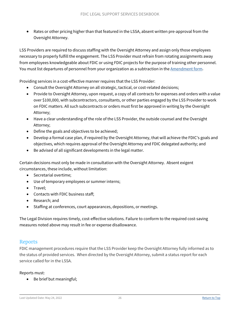• Rates or other pricing higher than that featured in the LSSA, absent written pre-approval from the Oversight Attorney.

LSS Providers are required to discuss staffing with the Oversight Attorney and assign only those employees necessary to properly fulfill the engagement. The LSS Provider must refrain from rotating assignments away from employees knowledgeable about FDIC or using FDIC projects for the purpose of training other personnel. You must list departures of personnel from your organization as a subtraction in the [Amendment](https://www.fdic.gov/formsdocuments/f5210-03.pdf) form.

Providing services in a cost-effective manner requires that the LSS Provider:

- Consult the Oversight Attorney on all strategic, tactical, or cost-related decisions;
- Provide to Oversight Attorney, upon request, a copy of all contracts for expenses and orders with a value over \$100,000, with subcontractors, consultants, or other parties engaged by the LSS Provider to work on FDIC matters. All such subcontracts or orders must first be approved in writing by the Oversight Attorney;
- Have a clear understanding of the role of the LSS Provider, the outside counsel and the Oversight Attorney;
- Define the goals and objectives to be achieved;
- Develop a formal case plan, if required by the Oversight Attorney, that will achieve the FDIC's goals and objectives, which requires approval of the Oversight Attorney and FDIC delegated authority; and
- Be advised of all significant developments in the legal matter.

Certain decisions must only be made in consultation with the Oversight Attorney. Absent exigent circumstances, these include, without limitation:

- Secretarial overtime;
- Use of temporary employees or summer interns;
- Travel:
- Contacts with FDIC business staff;
- Research; and
- Staffing at conferences, court appearances, depositions, or meetings.

The Legal Division requires timely, cost-effective solutions. Failure to conform to the required cost-saving measures noted above may result in fee or expense disallowance.

#### <span id="page-25-0"></span>Reports

FDIC management procedures require that the LSS Provider keep the Oversight Attorney fully informed as to the status of provided services. When directed by the Oversight Attorney, submit a status report for each service called for in the LSSA.

Reports must:

• Be brief but meaningful;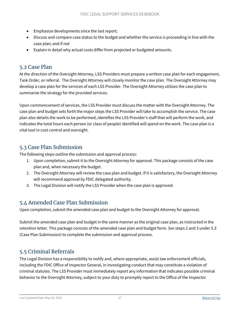- Emphasize developments since the last report;
- Discuss and compare case status to the budget and whether the service is proceeding in line with the case plan; and if not
- Explain in detail why actual costs differ from projected or budgeted amounts.

#### <span id="page-26-0"></span>5.2 Case Plan

At the direction of the Oversight Attorney, LSS Providers must prepare a written case plan for each engagement, Task Order, or referral. The Oversight Attorney will closely monitor the case plan. The Oversight Attorney may develop a case plan for the services of each LSS Provider. The Oversight Attorney utilizes the case plan to summarize the strategy for the provided services.

Upon commencement of services, the LSS Provider must discuss the matter with the Oversight Attorney. The case plan and budget sets forth the major steps the LSS Provider will take to accomplish the service. The case plan also details the work to be performed, identifies the LSS Provider's staff that will perform the work, and indicates the total hours each person (or class of people) identified will spend on the work. The case plan is a vital tool in cost control and oversight.

#### <span id="page-26-1"></span>5.3 Case Plan Submission

The following steps outline the submission and approval process:

- 1. Upon completion, submit it to the Oversight Attorney for approval. This package consists of the case plan and, when necessary the budget.
- 2. The Oversight Attorney will review the case plan and budget. If it is satisfactory, the Oversight Attorney will recommend approval by FDIC delegated authority.
- 3. The Legal Division will notify the LSS Provider when the case plan is approved.

### <span id="page-26-2"></span>5.4 Amended Case Plan Submission

Upon completion, submit the amended case plan and budget to the Oversight Attorney for approval.

Submit the amended case plan and budget in the same manner as the original case plan, as instructed in the retention letter. This package consists of the amended case plan and budget form. *See* steps 2 and 3 under 5.3 (Case Plan Submission) to complete the submission and approval process.

### <span id="page-26-3"></span>5.5 Criminal Referrals

The Legal Division has a responsibility to notify and, where appropriate, assist law enforcement officials, including the FDIC Office of Inspector General, in investigating conduct that may constitute a violation of criminal statutes. The LSS Provider must immediately report any information that indicates possible criminal behavior to the Oversight Attorney, subject to your duty to promptly report to the Office of the Inspector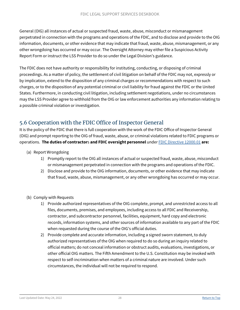General (OIG) all instances of actual or suspected fraud, waste, abuse, misconduct or mismanagement perpetrated in connection with the programs and operations of the FDIC, and to disclose and provide to the OIG information, documents, or other evidence that may indicate that fraud, waste, abuse, mismanagement, or any other wrongdoing has occurred or may occur. The Oversight Attorney may either file a [Suspicious Activity](https://www.fdic.gov/about/doing-business/legal-support-services-deskbook/forms/SuspiciousActivity.doc)  [Report Form](https://www.fdic.gov/about/doing-business/legal-support-services-deskbook/forms/SuspiciousActivity.doc) or instruct the LSS Provider to do so under the Legal Division's guidance.

The FDIC does not have authority or responsibility for instituting, conducting, or disposing of criminal proceedings. As a matter of policy, the settlement of civil litigation on behalf of the FDIC may not, expressly or by implication, extend to the disposition of any criminal charges or recommendations with respect to such charges, or to the disposition of any potential criminal or civil liability for fraud against the FDIC or the United States. Furthermore, in conducting civil litigation, including settlement negotiations, under no circumstances may the LSS Provider agree to withhold from the OIG or law enforcement authorities any information relating to a possible criminal violation or investigation.

### <span id="page-27-0"></span>5.6 Cooperation with the FDIC Office of Inspector General

It is the policy of the FDIC that there is full cooperation with the work of the FDIC Office of Inspector General (OIG) and prompt reporting to the OIG of fraud, waste, abuse, or criminal violations related to FDIC programs or operations. **The duties of contractor**s **and FDIC oversight personnel** unde[r FDIC Directive 12000.01](https://www.fdic.gov/formsdocuments/d12000-01.pdf) **are:**

- (a) Report Wrongdoing
	- 1) Promptly report to the OIG all instances of actual or suspected fraud, waste, abuse, misconduct or mismanagement perpetrated in connection with the programs and operations of the FDIC.
	- 2) Disclose and provide to the OIG information, documents, or other evidence that may indicate that fraud, waste, abuse, mismanagement, or any other wrongdoing has occurred or may occur.
- (b) Comply with Requests
	- 1) Provide authorized representatives of the OIG complete, prompt, and unrestricted access to all files, documents, premises, and employees, including access to all FDIC and Receivership, contractor, and subcontractor personnel, facilities, equipment, hard copy and electronic records, information systems, and other sources of information available to any part of the FDIC when requested during the course of the OIG's official duties.
	- 2) Provide complete and accurate information, including a signed sworn statement, to duly authorized representatives of the OIG when required to do so during an inquiry related to official matters; do not conceal information or obstruct audits, evaluations, investigations, or other official OIG matters. The Fifth Amendment to the U.S. Constitution may be invoked with respect to self-incrimination when matters of a criminal nature are involved. Under such circumstances, the individual will not be required to respond.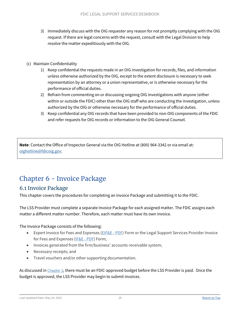- 3) Immediately discuss with the OIG requester any reason for not promptly complying with the OIG request. If there are legal concerns with the request, consult with the Legal Division to help resolve the matter expeditiously with the OIG.
- (c) Maintain Confidentiality
	- 1) Keep confidential the requests made in an OIG investigation for records, files, and information unless otherwise authorized by the OIG, except to the extent disclosure is necessary to seek representation by an attorney or a union representative, or is otherwise necessary for the performance of official duties.
	- 2) Refrain from commenting on or discussing ongoing OIG investigations with anyone (either within or outside the FDIC) other than the OIG staff who are conducting the investigation, unless authorized by the OIG or otherwise necessary for the performance of official duties.
	- 3) Keep confidential any OIG records that have been provided to non-OIG components of the FDIC and refer requests for OIG records or information to the OIG General Counsel.

**Note**: Contact the Office of Inspector General via the OIG Hotline at (800) 964-3342 or via email at: [oighotline@fdicoig.gov.](mailto:oighotline@fdicoig.gov)

## <span id="page-28-2"></span><span id="page-28-0"></span>Chapter 6 - Invoice Package

#### <span id="page-28-1"></span>6.1 Invoice Package

This chapter covers the procedures for completing an Invoice Package and submitting it to the FDIC.

The LSS Provider must complete a separate Invoice Package for each assigned matter. The FDIC assigns each matter a different matter number. Therefore, each matter must have its own invoice.

The Invoice Package consists of the following:

- Expert Invoice for Fees and Expenses [\(EIF&E PDF\)](https://www.fdic.gov/formsdocuments/f5210-01.pdf) Form or the Legal Support Services Provider Invoice for Fees and Expenses [\(IF&E -](https://www.fdic.gov/formsdocuments/f5210-02.pdf) PDF) Form;
- Invoices generated from the firm/business' accounts receivable system;
- Necessary receipts; and
- Travel vouchers and/or other supporting documentation.

As discussed in [Chapter 3,](#page-13-1) there must be an FDIC-approved budget before the LSS Provider is paid. Once the budget is approved, the LSS Provider may begin to submit invoices.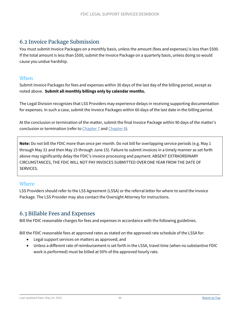### <span id="page-29-0"></span>6.2 Invoice Package Submission

You must submit Invoice Packages on a monthly basis, unless the amount (fees and expenses) is less than \$500. If the total amount is less than \$500, submit the Invoice Package on a quarterly basis, unless doing so would cause you undue hardship.

#### <span id="page-29-1"></span>**When**

Submit Invoice Packages for fees and expenses within 30 days of the last day of the billing period, except as noted above. **Submit all monthly billings only by calendar months.**

The Legal Division recognizes that LSS Providers may experience delays in receiving supporting documentation for expenses. In such a case, submit the Invoice Packages within 60 days of the last date in the billing period.

At the conclusion or termination of the matter, submit the final Invoice Package within 90 days of the matter's conclusion or termination (refer to [Chapter 7](#page-39-0) and [Chapter 8\)](#page-40-2).

**Note:** Do not bill the FDIC more than once per month. Do not bill for overlapping service periods (e.g. May 1 through May 31 and then May 15 through June 15). Failure to submit invoices in a timely manner as set forth above may significantly delay the FDIC's invoice processing and payment. ABSENT EXTRAORDINARY CIRCUMSTANCES, THE FDIC WILL NOT PAY INVOICES SUBMITTED OVER ONE YEAR FROM THE DATE OF SERVICES.

#### <span id="page-29-2"></span>Where

LSS Providers should refer to the LSS Agreement (LSSA) or the referral letter for where to send the Invoice Package. The LSS Provider may also contact the Oversight Attorney for instructions.

### <span id="page-29-3"></span>6.3 Billable Fees and Expenses

Bill the FDIC reasonable charges for fees and expenses in accordance with the following guidelines.

Bill the FDIC reasonable fees at approved rates as stated on the approved rate schedule of the LSSA for:

- Legal support services on matters as approved; and
- Unless a different rate of reimbursement is set forth in the LSSA, travel time (when no substantive FDIC work is performed) must be billed at 50% of the approved hourly rate.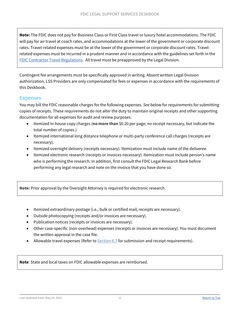**Note:** The FDIC does not pay for Business Class or First Class travel or luxury hotel accommodations. The FDIC will pay for air travel at coach rates, and accommodations at the lower of the government or corporate discount rates. Travel-related expenses must be at the lower of the government or corporate discount rates. Travelrelated expenses must be incurred in a prudent manner and in accordance with the guidelines set forth in the [FDIC Contractor Travel Regulations.](https://fdicnet.fdic.gov/content/dof/home/travel/Reg-duty-travel-regs/appendix-j.html) All travel must be preapproved by the Legal Division.

Contingent fee arrangements must be specifically approved in writing. Absent written Legal Division authorization, LSS Providers are only compensated for fees or expenses in accordance with the requirements of this Deskbook.

#### <span id="page-30-0"></span>Expenses

You may bill the FDIC reasonable charges for the following expenses. *See* below for requirements for submitting copies of receipts. These requirements do not alter the duty to maintain original receipts and other supporting documentation for all expenses for audit and review purposes.

- Itemized In-house copy charges (**no more than** \$0.20 per page; no receipt necessary, but indicate the total number of copies.)
- Itemized international long distance telephone or multi-party conference call charges (receipts are necessary).
- Itemized overnight delivery (receipts necessary). Itemization must include name of the deliveree.
- Itemized electronic research (receipts or invoices necessary). Itemization must include person's name who is performing the research. In addition, first consult the FDIC Legal Research Bank before performing any legal research and note on the invoice that you have done so.

**Note:** Prior approval by the Oversight Attorney is required for electronic research.

- Itemized extraordinary postage (i.e., bulk or certified mail; receipts are necessary).
- Outside photocopying (receipts and/or invoices are necessary).
- Publication notices (receipts or invoices are necessary).
- Other case-specific (non-overhead) expenses (receipts or invoices are necessary). You must document the written approval in the case file.
- Allowable travel expenses (Refer to **[Section 6.7](#page-34-0)** for submission and receipt requirements).

**Note**: State and local taxes on FDIC allowable expenses are reimbursed.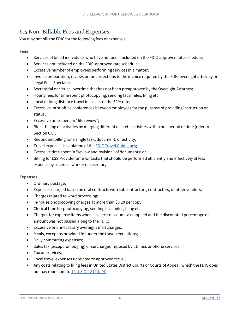### <span id="page-31-0"></span>6.4 Non-Billable Fees and Expenses

You may not bill the FDIC for the following fees or expenses:

#### **Fees**

- Services of billed individuals who have not been included on the FDIC-approved rate schedule;
- Services not included on the FDIC-approved rate schedule;
- Excessive number of employees performing services in a matter;
- Invoice preparation, review, or for corrections to the invoice required by the FDIC oversight attorney or Legal Fees Specialist;
- Secretarial or clerical overtime that has not been preapproved by the Oversight Attorney;
- Hourly fees for time spent photocopying, sending facsimiles, filing etc.;
- Local or long distance travel in excess of the 50% rate;
- Excessive intra-office conferences between employees for the purpose of providing instruction or status;
- Excessive time spent in "file review";
- Block-billing of activities by merging different discrete activities within one period of time (refer to Section 6.6);
- Redundant billing for a single task, document, or activity;
- Travel expenses in violation of the [FDIC Travel Guidelines;](https://www.fdic.gov/formsdocuments/contractortravelguidelines.pdf)
- Excessive time spent in "review and revision" of documents; or
- Billing for LSS Provider time for tasks that should be performed efficiently and effectively at less expense by a clerical worker or secretary;

#### **Expenses**

- Ordinary postage;
- Expenses charged based on oral contracts with subcontractors, contractors, or other vendors;
- Charges related to word processing;
- In-house photocopying charges at more than \$0.20 per copy;
- Clerical time for photocopying, sending facsimiles, filing etc.;
- Charges for expense items when a seller's discount was applied and the discounted percentage or amount was not passed along to the FDIC;
- Excessive or unnecessary overnight mail charges;
- Meals, except as provided for under the travel regulations;
- Daily commuting expenses;
- Sales tax (except for lodging) or surcharges imposed by utilities or phone services;
- Tax on services;
- Local travel expenses unrelated to approved travel;
- Any costs relating to filing fees in United States District Courts or Courts of Appeal, which the FDIC does not pay (pursuant to [12 U.S.C. 1819\(b\)\(4\);](https://www.fdic.gov/regulations/laws/rules/1000-1000.html#1000sec.9b)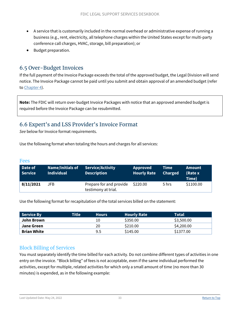- A service that is customarily included in the normal overhead or administrative expense of running a business (e.g., rent, electricity, all telephone charges within the United States except for multi-party conference call charges, HVAC, storage, bill preparation); or
- Budget preparation.

### <span id="page-32-0"></span>6.5 Over-Budget Invoices

If the full payment of the Invoice Package exceeds the total of the approved budget, the Legal Division will send notice. The Invoice Package cannot be paid until you submit and obtain approval of an amended budget (refer to [Chapter 4\)](#page-20-0).

**Note:** The FDIC will return over-budget Invoice Packages with notice that an approved amended budget is required before the Invoice Package can be resubmitted.

### <span id="page-32-1"></span>6.6 Expert's and LSS Provider's Invoice Format

*See* below for Invoice format requirements.

Use the following format when totaling the hours and charges for all services:

#### <span id="page-32-2"></span>Fees

| Date of<br><b>Service</b> | <b>Name/Initials of</b><br><b>Individual</b> | Service/Activity<br><b>Description</b>         | <b>Approved</b><br><b>Hourly Rate</b> | Time<br><b>Charged</b> | <b>Amount</b><br>(Rate x<br>Time) |
|---------------------------|----------------------------------------------|------------------------------------------------|---------------------------------------|------------------------|-----------------------------------|
| 8/11/2021                 | JFB.                                         | Prepare for and provide<br>testimony at trial. | \$220.00                              | 5 hrs                  | \$1100.00                         |

Use the following format for recapitulation of the total services billed on the statement:

| Service By         | Title $^{\dagger}$ | 'Hours, | <b>Hourly Rate</b> | <b>Total</b> |
|--------------------|--------------------|---------|--------------------|--------------|
| John Brown         |                    | 10      | \$350.00           | \$3,500.00   |
| Jane Green         |                    | 20      | \$210.00           | \$4,200.00   |
| <b>Brian White</b> |                    | 9.5     | \$145.00           | \$1377.00    |

#### <span id="page-32-3"></span>Block Billing of Services

You must separately identify the time billed for each activity. Do not combine different types of activities in one entry on the invoice. "Block billing" of fees is not acceptable, even if the same individual performed the activities, except for multiple, related activities for which only a small amount of time (no more than 30 minutes) is expended, as in the following example: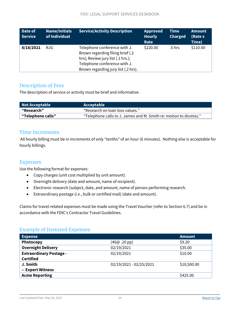| Date of<br><b>Service</b> | <b>Name/Initials</b><br>of Individual | <b>Service/Activity Description</b>                                                                                                                                           | <b>Approved</b><br><b>Hourly</b><br>Rate | Time<br><b>Charged</b> | <b>Amount</b><br>(Rate x<br>Time) |
|---------------------------|---------------------------------------|-------------------------------------------------------------------------------------------------------------------------------------------------------------------------------|------------------------------------------|------------------------|-----------------------------------|
| 8/18/2021                 | RJG.                                  | Telephone conference with J.<br>Brown regarding filing brief (.2)<br>hrs); Review jury list (.1 hrs.);<br>Telephone conference with J.<br>Brown regarding jury list (.2 hrs). | \$220.00                                 | .5 hrs                 | \$110.00                          |

#### <span id="page-33-0"></span>Description of Fees

The description of service or activity must be brief and informative.

| Not Acceptable    | Acceptable                                                        |
|-------------------|-------------------------------------------------------------------|
| "Research"        | "Research on loan loss values."                                   |
| "Telephone calls" | "Telephone calls to J. James and M. Smith re: motion to dismiss." |

#### <span id="page-33-1"></span>Time Increments

All hourly billing must be in increments of only "tenths" of an hour (6 minutes). Nothing else is acceptable for hourly billings.

#### <span id="page-33-2"></span>Expenses

Use the following format for expenses:

- Copy charges (unit cost multiplied by unit amount).
- Overnight delivery (date and amount, name of recipient).
- Electronic research (subject, date, and amount, name of person performing research.
- Extraordinary postage (*i.e.*, bulk or certified mail) (date and amount).

Claims for travel-related expenses must be made using the Travel Voucher (refer to Section 6.7) and be in accordance with the FDIC's Contractor Travel Guidelines.

#### <span id="page-33-3"></span>Example of Itemized Expenses

| <b>Expense</b>                 |                         | <b>Amount</b> |
|--------------------------------|-------------------------|---------------|
| Photocopy                      | (46@ .20 pp)            | \$9.20        |
| <b>Overnight Delivery</b>      | 02/19/2021              | \$35.00       |
| <b>Extraordinary Postage -</b> | 02/19/2021              | \$10.00       |
| <b>Certified</b>               |                         |               |
| J. Smith                       | 02/19/2021 - 02/25/2021 | \$10,500.00   |
| -- Expert Witness              |                         |               |
| <b>Acme Reporting</b>          |                         | \$425.00      |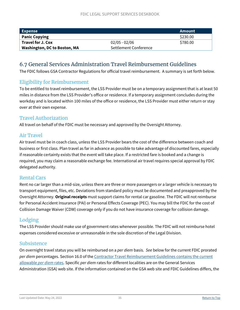| Expense                             |                       | Amount   |
|-------------------------------------|-----------------------|----------|
| <b>Panic Copying</b>                |                       | \$230.00 |
| <b>Travel for J. Cox</b>            | $02/05 - 02/06$       | \$780.00 |
| <b>Washington, DC to Boston, MA</b> | Settlement Conference |          |

### <span id="page-34-0"></span>6.7 General Services Administration Travel Reimbursement Guidelines

The FDIC follows GSA Contractor Regulations for official travel reimbursement. A summary is set forth below.

#### <span id="page-34-1"></span>Eligibility for Reimbursement

To be entitled to travel reimbursement, the LSS Provider must be on a temporary assignment that is at least 50 miles in distance from the LSS Provider's office or residence. If a temporary assignment concludes during the workday and is located within 100 miles of the office or residence, the LSS Provider must either return or stay over at their own expense.

#### <span id="page-34-2"></span>Travel Authorization

All travel on behalf of the FDIC must be necessary and approved by the Oversight Attorney.

#### <span id="page-34-3"></span>Air Travel

Air travel must be in coach class, unless the LSS Provider bears the cost of the difference between coach and business or first class. Plan travel as far in advance as possible to take advantage of discounted fares, especially if reasonable certainty exists that the event will take place. If a restricted fare is booked and a change is required, you may claim a reasonable exchange fee. International air travel requires special approval by FDIC delegated authority.

#### <span id="page-34-4"></span>Rental Cars

Rent no car larger than a mid-size, unless there are three or more passengers or a larger vehicle is necessary to transport equipment, files, etc. Deviations from standard policy must be documented and preapproved by the Oversight Attorney. **Original receipts** must support claims for rental car gasoline. The FDIC will not reimburse for Personal Accident Insurance (PAI) or Personal Effects Coverage (PEC). You may bill the FDIC for the cost of Collision Damage Waiver (CDW) coverage only if you do not have insurance coverage for collision damage.

#### <span id="page-34-5"></span>Lodging

The LSS Provider should make use of government rates whenever possible. The FDIC will not reimburse hotel expenses considered excessive or unreasonable in the sole discretion of the Legal Division.

#### <span id="page-34-6"></span>Subsistence

On overnight travel status you will be reimbursed on a *per diem* basis. *See* below for the current FDIC prorated *per diem* percentages. Section 16.0 of the [Contractor Travel Reimbursement Guidelines](https://www.fdic.gov/formsdocuments/contractortravelguidelines.pdf) contains the current allowable *per diem* rates. Specific *per diem* rates for different localities are on the [General Services](http://www.gsa.gov/Portal/gsa/ep/contentView.do?contentId=17943&contentType=GSA_BASIC)  [Administration \(GSA\) web site.](http://www.gsa.gov/Portal/gsa/ep/contentView.do?contentId=17943&contentType=GSA_BASIC) If the information contained on the GSA web site and FDIC Guidelines differs, the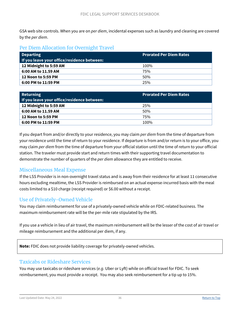GSA web site controls. When you are on *per diem*, incidental expenses such as laundry and cleaning are covered by the *per diem*.

#### <span id="page-35-0"></span>Per Diem Allocation for Overnight Travel

| <b>Departing</b><br>If you leave your office/residence between: | <b>Prorated Per Diem Rates</b> |
|-----------------------------------------------------------------|--------------------------------|
| 12 Midnight to 5:59 AM                                          | 100%                           |
| 6:00 AM to 11.59 AM                                             | 75%                            |
| 12 Noon to 5:59 PM                                              | 50%                            |
| 6:00 PM to 11:59 PM                                             | 25%                            |

| <b>Returning</b><br>$\mid$ If you leave your office/residence between: | <b>Prorated Per Diem Rates</b> |
|------------------------------------------------------------------------|--------------------------------|
| 12 Midnight to 5:59 AM                                                 | 25%                            |
| 6:00 AM to 11.59 AM                                                    | 50%                            |
| 12 Noon to 5:59 PM                                                     | 75%                            |
| 6:00 PM to 11:59 PM                                                    | 100%                           |

If you depart from and/or directly to your residence, you may claim *per diem* from the time of departure from your residence until the time of return to your residence. If departure is from and/or return is to your office, you may claim *per diem* from the time of departure from your official station until the time of return to your official station. The traveler must provide start and return times with their supporting travel documentation to demonstrate the number of quarters of the *per diem* allowance they are entitled to receive.

#### <span id="page-35-1"></span>Miscellaneous Meal Expense

If the LSS Provider is in non-overnight travel status and is away from their residence for at least 11 consecutive hours excluding mealtime, the LSS Provider is reimbursed on an actual expense-incurred basis with the meal costs limited to a \$10 charge (receipt required) or \$6.00 without a receipt.

#### <span id="page-35-2"></span>Use of Privately-Owned Vehicle

You may claim reimbursement for use of a privately-owned vehicle while on FDIC-related business. The maximum reimbursement rate will be the per-mile rate stipulated by the IRS.

If you use a vehicle in lieu of air travel, the maximum reimbursement will be the lesser of the cost of air travel or mileage reimbursement and the additional per diem, if any.

**Note:** FDIC does not provide liability coverage for privately-owned vehicles.

#### <span id="page-35-3"></span>Taxicabs or Rideshare Services

You may use taxicabs or rideshare services (*e.g.* Uber or Lyft) while on official travel for FDIC. To seek reimbursement, you must provide a receipt. You may also seek reimbursement for a tip up to 15%.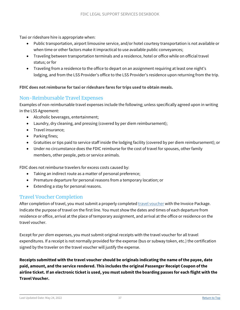Taxi or rideshare hire is appropriate when:

- Public transportation, airport limousine service, and/or hotel courtesy transportation is not available or when time or other factors make it impractical to use available public conveyances;
- Traveling between transportation terminals and a residence, hotel or office while on official travel status; or for
- Traveling from a residence to the office to depart on an assignment requiring at least one night's lodging, and from the LSS Provider's office to the LSS Provider's residence upon returning from the trip.

#### **FDIC does not reimburse for taxi or rideshare fares for trips used to obtain meals.**

#### <span id="page-36-0"></span>Non-Reimbursable Travel Expenses

Examples of non-reimbursable travel expenses include the following; unless specifically agreed upon in writing in the LSS Agreement:

- Alcoholic beverages, entertainment;
- Laundry, dry cleaning, and pressing (covered by per diem reimbursement);
- Travel insurance;
- Parking fines;
- Gratuities or tips paid to service staff inside the lodging facility (covered by per diem reimbursement); or
- Under no circumstance does the FDIC reimburse for the cost of travel for spouses, other family members, other people, pets or service animals.

FDIC does not reimburse travelers for excess costs caused by:

- Taking an indirect route as a matter of personal preference;
- Premature departure for personal reasons from a temporary location; or
- Extending a stay for personal reasons.

#### <span id="page-36-1"></span>Travel Voucher Completion

After completion of travel, you must submit a properly completed **[travel voucher](https://www.fdic.gov/formsdocuments/f5210-12.pdf)** with the Invoice Package. Indicate the purpose of travel on the first line. You must show the dates and times of each departure from residence or office, arrival at the place of temporary assignment, and arrival at the office or residence on the travel voucher.

Except for *per diem* expenses, you must submit original receipts with the travel voucher for all travel expenditures. If a receipt is not normally provided for the expense (bus or subway token, etc.) the certification signed by the traveler on the travel voucher will justify the expense.

**Receipts submitted with the travel voucher should be originals indicating the name of the payee, date paid, amount, and the service rendered. This includes the original Passenger Receipt Coupon of the airline ticket. If an electronic ticket is used, you must submit the boarding passes for each flight with the Travel Voucher.**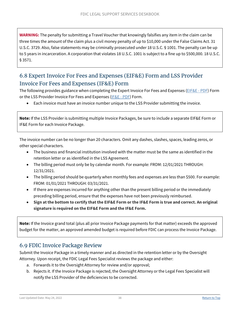**WARNING:** The penalty for submitting a Travel Voucher that knowingly falsifies any item in the claim can be three times the amount of the claim plus a civil money penalty of up to \$10,000 under the False Claims Act. 31 U.S.C. 3729. Also, false statements may be criminally prosecuted under 18 U.S.C. § 1001. The penalty can be up to 5 years in incarceration. A corporation that violates 18 U.S.C. 1001 is subject to a fine up to \$500,000. 18 U.S.C. § 3571.

### <span id="page-37-0"></span>6.8 Expert Invoice For Fees and Expenses (EIF&E) Form and LSS Provider Invoice For Fees and Expenses (IF&E) Form

The following provides guidance when completing the Expert Invoice For Fees and Expenses [\(EIF&E - PDF\)](https://www.fdic.gov/formsdocuments/f5210-01.pdf) Form or the LSS Provider Invoice For Fees and Expenses [\(IF&E -](https://www.fdic.gov/formsdocuments/f5210-02.pdf) PDF) Form.

• Each invoice must have an invoice number unique to the LSS Provider submitting the invoice.

**Note:** If the LSS Provider is submitting multiple Invoice Packages, be sure to include a separate EIF&E Form or IF&E Form for each Invoice Package.

The invoice number can be no longer than 20 characters. Omit any dashes, slashes, spaces, leading zeros, or other special characters.

- The business and financial institution involved with the matter must be the same as identified in the retention letter or as identified in the LSS Agreement.
- The billing period must only be by calendar month. For example: FROM: 12/01/2021 THROUGH: 12/31/2021.
- The billing period should be quarterly when monthly fees and expenses are less than \$500. For example: FROM: 01/01/2021 THROUGH: 03/31/2021.
- If there are expenses incurred for anything other than the present billing period or the immediately preceding billing period, ensure that the expenses have not been previously reimbursed.
- **Sign at the bottom to certify that the EIF&E Form or the IF&E Form is true and correct. An original signature is required on the EIF&E Form and the IF&E Form.**

**Note:** If the Invoice grand total (plus all prior Invoice Package payments for that matter) exceeds the approved budget for the matter, an approved amended budget is required before FDIC can process the Invoice Package.

### <span id="page-37-1"></span>6.9 FDIC Invoice Package Review

Submit the Invoice Package in a timely manner and as directed in the retention letter or by the Oversight Attorney. Upon receipt, the FDIC Legal Fees Specialist reviews the package and either:

- a. Forwards it to the Oversight Attorney for review and/or approval;
- b. Rejects it. If the Invoice Package is rejected, the Oversight Attorney or the Legal Fees Specialist will notify the LSS Provider of the deficiencies to be corrected.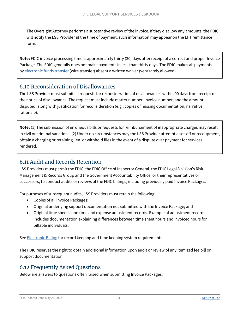The Oversight Attorney performs a substantive review of the invoice. If they disallow any amounts, the FDIC will notify the LSS Provider at the time of payment; such information may appear on the EFT remittance form.

**Note:** FDIC invoice processing time is approximately thirty (30) days after receipt of a correct and proper Invoice Package. The FDIC generally does not make payments in less than thirty days. The FDIC makes all payments by [electronic funds transfer](https://www.fdic.gov/about/doing-business/legal-support-services-deskbook/eftlssd.html) (wire transfer) absent a written waiver (very rarely allowed).

### <span id="page-38-0"></span>6.10 Reconsideration of Disallowances

The LSS Provider must submit all requests for reconsideration of disallowances within 90 days from receipt of the notice of disallowance. The request must include matter number, invoice number, and the amount disputed, along with justification for reconsideration (e.g., copies of missing documentation, narrative rationale).

**Note:** (1) The submission of erroneous bills or requests for reimbursement of inappropriate charges may result in civil or criminal sanctions. (2) Under no circumstances may the LSS Provider attempt a set-off or recoupment, obtain a charging or retaining lien, or withhold files in the event of a dispute over payment for services rendered.

### <span id="page-38-1"></span>6.11 Audit and Records Retention

LSS Providers must permit the FDIC, the FDIC Office of Inspector General, the FDIC Legal Division's Risk Management & Records Group and the Government Accountability Office, or their representatives or successors, to conduct audits or reviews of the FDIC billings, including previously paid Invoice Packages.

For purposes of subsequent audits, LSS Providers must retain the following:

- Copies of all Invoice Packages;
- Original underlying support documentation not submitted with the Invoice Package; and
- Original time sheets, and time and expense adjustment records. Example of adjustment records includes documentation explaining differences between time sheet hours and invoiced hours for billable individuals.

See [Electronic Billing](#page-41-4) for record keeping and time keeping system requirements.

The FDIC reserves the right to obtain additional information upon audit or review of any itemized fee bill or support documentation.

### <span id="page-38-2"></span>6.12 Frequently Asked Questions

Below are answers to questions often raised when submitting Invoice Packages.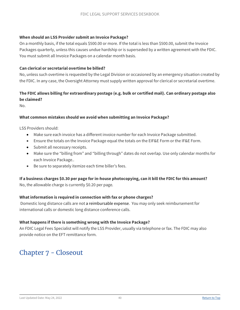#### **When should an LSS Provider submit an Invoice Package?**

On a monthly basis, if the total equals \$500.00 or more. If the total is less than \$500.00, submit the Invoice Packages quarterly, unless this causes undue hardship or is superseded by a written agreement with the FDIC. You must submit all Invoice Packages on a calendar month basis.

#### **Can clerical or secretarial overtime be billed?**

No, unless such overtime is requested by the Legal Division or occasioned by an emergency situation created by the FDIC. In any case, the Oversight Attorney must supply written approval for clerical or secretarial overtime.

#### **The FDIC allows billing for extraordinary postage (e.g. bulk or certified mail). Can ordinary postage also be claimed?**

No.

#### **What common mistakes should we avoid when submitting an Invoice Package?**

LSS Providers should:

- Make sure each invoice has a different invoice number for each Invoice Package submitted.
- Ensure the totals on the Invoice Package equal the totals on the EIF&E Form or the IF&E Form.
- Submit all necessary receipts.
- Make sure the "billing from" and "billing through" dates do not overlap. Use only calendar months for each Invoice Package..
- Be sure to separately itemize each time biller's fees.

#### **If a business charges \$0.30 per page for in-house photocopying, can it bill the FDIC for this amount?**

No, the allowable charge is currently \$0.20 per page*.* 

#### **What information is required in connection with fax or phone charges?**

Domestic long distance calls are not a reimbursable expense. You may only seek reimbursement for international calls or domestic long distance conference calls.

#### **What happens if there is something wrong with the Invoice Package?**

An FDIC Legal Fees Specialist will notify the LSS Provider, usually via telephone or fax. The FDIC may also provide notice on the EFT remittance form.

## <span id="page-39-0"></span>Chapter 7 - Closeout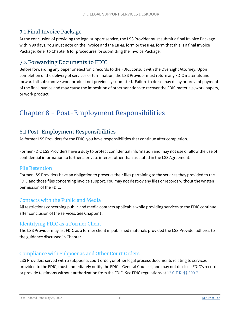### <span id="page-40-0"></span>7.1 Final Invoice Package

At the conclusion of providing the legal support service, the LSS Provider must submit a final Invoice Package within 90 days. You must note on the invoice and the EIF&E form or the IF&E form that this is a final Invoice Package. Refer to [Chapter 6](https://www.fdic.gov/about/doing-business/legal-support-services-deskbook/chap6.html) for procedures for submitting the Invoice Package.

### <span id="page-40-1"></span>7.2 Forwarding Documents to FDIC

Before forwarding any paper or electronic records to the FDIC, consult with the Oversight Attorney. Upon completion of the delivery of services or termination, the LSS Provider must return any FDIC materials and forward all substantive work product not previously submitted. Failure to do so may delay or prevent payment of the final invoice and may cause the imposition of other sanctions to recover the FDIC materials, work papers, or work product.

## <span id="page-40-2"></span>Chapter 8 - Post-Employment Responsibilities

### <span id="page-40-3"></span>8.1 Post-Employment Responsibilities

As former LSS Providers for the FDIC, you have responsibilities that continue after completion.

Former FDIC LSS Providers have a duty to protect confidential information and may not use or allow the use of confidential information to further a private interest other than as stated in the LSS Agreement.

#### <span id="page-40-4"></span>File Retention

Former LSS Providers have an obligation to preserve their files pertaining to the services they provided to the FDIC and those files concerning invoice support. You may not destroy any files or records without the written permission of the FDIC.

#### <span id="page-40-5"></span>Contacts with the Public and Media

All restrictions concerning public and media contacts applicable while providing services to the FDIC continue after conclusion of the services. *See* Chapter 1.

#### <span id="page-40-6"></span>Identifying FDIC as a Former Client

The LSS Provider may list FDIC as a former client in published materials provided the LSS Provider adheres to the guidance discussed in [Chapter 1.](https://www.fdic.gov/about/doing-business/legal-support-services-deskbook/chap1.html)

#### <span id="page-40-7"></span>Compliance with Subpoenas and Other Court Orders

LSS Providers served with a subpoena, court order, or other legal process documents relating to services provided to the FDIC, must immediately notify the FDIC's General Counsel, and may not disclose FDIC's records or provide testimony without authorization from the FDIC. *See* FDIC regulations at [12 C.F.R. §§ 309.7.](https://www.fdic.gov/regulations/laws/rules/2000-3800.html#2000part309.7)